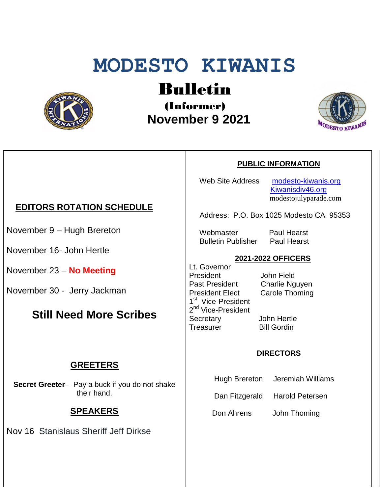# **MODESTO KIWANIS**



## Bulletin

(Informer)  **November 9 2021**



## **PUBLIC INFORMATION**

Web Site Address [modesto-kiwanis.org](http://modesto-kiwanis.org/) [Kiwanisdiv46.org](http://www.kiwanisdiv46.org/) modestojulyparade.com

Address: P.O. Box 1025 Modesto CA 95353

Webmaster Paul Hearst Bulletin Publisher Paul Hearst

#### **2021-2022 OFFICERS**

Lt. Governor President John Field Past President Charlie Nguyen President Elect Carole Thoming 1<sup>st</sup> Vice-President 2<sup>nd</sup> Vice-President Secretary John Hertle Treasurer Bill Gordin

#### **DIRECTORS**

- Hugh Brereton Jeremiah Williams
- Dan Fitzgerald Harold Petersen

Don Ahrens John Thoming

#### **EDITORS ROTATION SCHEDULE**

November 9 – Hugh Brereton

November 16- John Hertle

November 23 – **No Meeting**

November 30 - Jerry Jackman

## **Still Need More Scribes**

#### **GREETERS**

**Secret Greeter** – Pay a buck if you do not shake their hand.

#### **SPEAKERS**

Nov 16 Stanislaus Sheriff Jeff Dirkse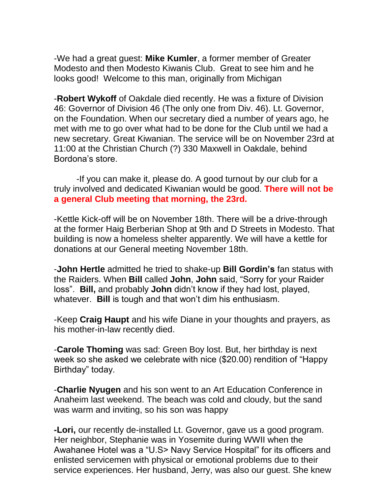-We had a great guest: **Mike Kumler**, a former member of Greater Modesto and then Modesto Kiwanis Club. Great to see him and he looks good! Welcome to this man, originally from Michigan

-**Robert Wykoff** of Oakdale died recently. He was a fixture of Division 46: Governor of Division 46 (The only one from Div. 46). Lt. Governor, on the Foundation. When our secretary died a number of years ago, he met with me to go over what had to be done for the Club until we had a new secretary. Great Kiwanian. The service will be on November 23rd at 11:00 at the Christian Church (?) 330 Maxwell in Oakdale, behind Bordona's store.

-If you can make it, please do. A good turnout by our club for a truly involved and dedicated Kiwanian would be good. **There will not be a general Club meeting that morning, the 23rd.** 

-Kettle Kick-off will be on November 18th. There will be a drive-through at the former Haig Berberian Shop at 9th and D Streets in Modesto. That building is now a homeless shelter apparently. We will have a kettle for donations at our General meeting November 18th.

-**John Hertle** admitted he tried to shake-up **Bill Gordin's** fan status with the Raiders. When **Bill** called **John**, **John** said, "Sorry for your Raider loss". **Bill,** and probably **John** didn't know if they had lost, played, whatever. **Bill** is tough and that won't dim his enthusiasm.

-Keep **Craig Haupt** and his wife Diane in your thoughts and prayers, as his mother-in-law recently died.

-**Carole Thoming** was sad: Green Boy lost. But, her birthday is next week so she asked we celebrate with nice (\$20.00) rendition of "Happy Birthday" today.

-**Charlie Nyugen** and his son went to an Art Education Conference in Anaheim last weekend. The beach was cold and cloudy, but the sand was warm and inviting, so his son was happy

**-Lori,** our recently de-installed Lt. Governor, gave us a good program. Her neighbor, Stephanie was in Yosemite during WWII when the Awahanee Hotel was a "U.S> Navy Service Hospital" for its officers and enlisted servicemen with physical or emotional problems due to their service experiences. Her husband, Jerry, was also our guest. She knew